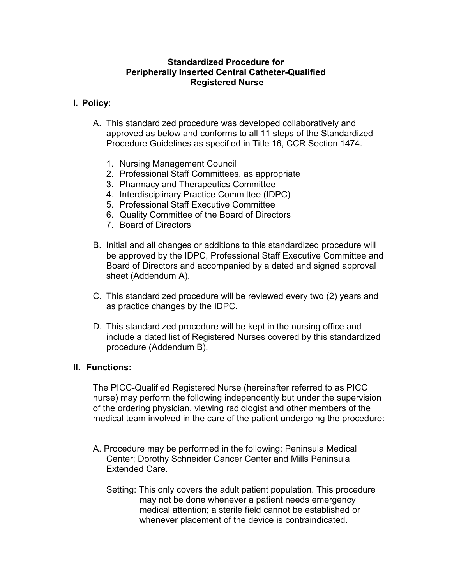# Standardized Procedure for Peripherally Inserted Central Catheter-Qualified Registered Nurse

# I. Policy:

- A. This standardized procedure was developed collaboratively and approved as below and conforms to all 11 steps of the Standardized Procedure Guidelines as specified in Title 16, CCR Section 1474.
	- 1. Nursing Management Council
	- 2. Professional Staff Committees, as appropriate
	- 3. Pharmacy and Therapeutics Committee
	- 4. Interdisciplinary Practice Committee (IDPC)
	- 5. Professional Staff Executive Committee
	- 6. Quality Committee of the Board of Directors
	- 7. Board of Directors
- B. Initial and all changes or additions to this standardized procedure will be approved by the IDPC, Professional Staff Executive Committee and Board of Directors and accompanied by a dated and signed approval sheet (Addendum A).
- C. This standardized procedure will be reviewed every two (2) years and as practice changes by the IDPC.
- D. This standardized procedure will be kept in the nursing office and include a dated list of Registered Nurses covered by this standardized procedure (Addendum B).

## II. Functions:

The PICC-Qualified Registered Nurse (hereinafter referred to as PICC nurse) may perform the following independently but under the supervision of the ordering physician, viewing radiologist and other members of the medical team involved in the care of the patient undergoing the procedure:

- A. Procedure may be performed in the following: Peninsula Medical Center; Dorothy Schneider Cancer Center and Mills Peninsula Extended Care.
	- Setting: This only covers the adult patient population. This procedure may not be done whenever a patient needs emergency medical attention; a sterile field cannot be established or whenever placement of the device is contraindicated.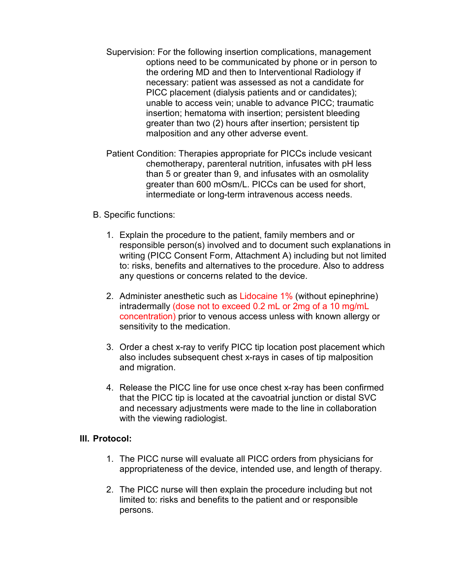- Supervision: For the following insertion complications, management options need to be communicated by phone or in person to the ordering MD and then to Interventional Radiology if necessary: patient was assessed as not a candidate for PICC placement (dialysis patients and or candidates); unable to access vein; unable to advance PICC; traumatic insertion; hematoma with insertion; persistent bleeding greater than two (2) hours after insertion; persistent tip malposition and any other adverse event.
- Patient Condition: Therapies appropriate for PICCs include vesicant chemotherapy, parenteral nutrition, infusates with pH less than 5 or greater than 9, and infusates with an osmolality greater than 600 mOsm/L. PICCs can be used for short, intermediate or long-term intravenous access needs.

# B. Specific functions:

- 1. Explain the procedure to the patient, family members and or responsible person(s) involved and to document such explanations in writing (PICC Consent Form, Attachment A) including but not limited to: risks, benefits and alternatives to the procedure. Also to address any questions or concerns related to the device.
- 2. Administer anesthetic such as Lidocaine 1% (without epinephrine) intradermally (dose not to exceed 0.2 mL or 2mg of a 10 mg/mL concentration) prior to venous access unless with known allergy or sensitivity to the medication.
- 3. Order a chest x-ray to verify PICC tip location post placement which also includes subsequent chest x-rays in cases of tip malposition and migration.
- 4. Release the PICC line for use once chest x-ray has been confirmed that the PICC tip is located at the cavoatrial junction or distal SVC and necessary adjustments were made to the line in collaboration with the viewing radiologist.

## III. Protocol:

- 1. The PICC nurse will evaluate all PICC orders from physicians for appropriateness of the device, intended use, and length of therapy.
- 2. The PICC nurse will then explain the procedure including but not limited to: risks and benefits to the patient and or responsible persons.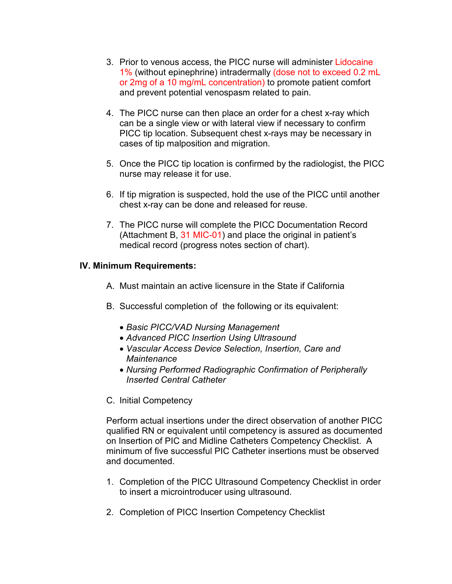- 3. Prior to venous access, the PICC nurse will administer Lidocaine 1% (without epinephrine) intradermally (dose not to exceed 0.2 mL or 2mg of a 10 mg/mL concentration) to promote patient comfort and prevent potential venospasm related to pain.
- 4. The PICC nurse can then place an order for a chest x-ray which can be a single view or with lateral view if necessary to confirm PICC tip location. Subsequent chest x-rays may be necessary in cases of tip malposition and migration.
- 5. Once the PICC tip location is confirmed by the radiologist, the PICC nurse may release it for use.
- 6. If tip migration is suspected, hold the use of the PICC until another chest x-ray can be done and released for reuse.
- 7. The PICC nurse will complete the PICC Documentation Record (Attachment B, 31 MIC-01) and place the original in patient's medical record (progress notes section of chart).

## IV. Minimum Requirements:

- A. Must maintain an active licensure in the State if California
- B. Successful completion of the following or its equivalent:
	- Basic PICC/VAD Nursing Management
	- Advanced PICC Insertion Using Ultrasound
	- Vascular Access Device Selection, Insertion, Care and **Maintenance**
	- Nursing Performed Radiographic Confirmation of Peripherally Inserted Central Catheter
- C. Initial Competency

Perform actual insertions under the direct observation of another PICC qualified RN or equivalent until competency is assured as documented on Insertion of PIC and Midline Catheters Competency Checklist. A minimum of five successful PIC Catheter insertions must be observed and documented.

- 1. Completion of the PICC Ultrasound Competency Checklist in order to insert a microintroducer using ultrasound.
- 2. Completion of PICC Insertion Competency Checklist